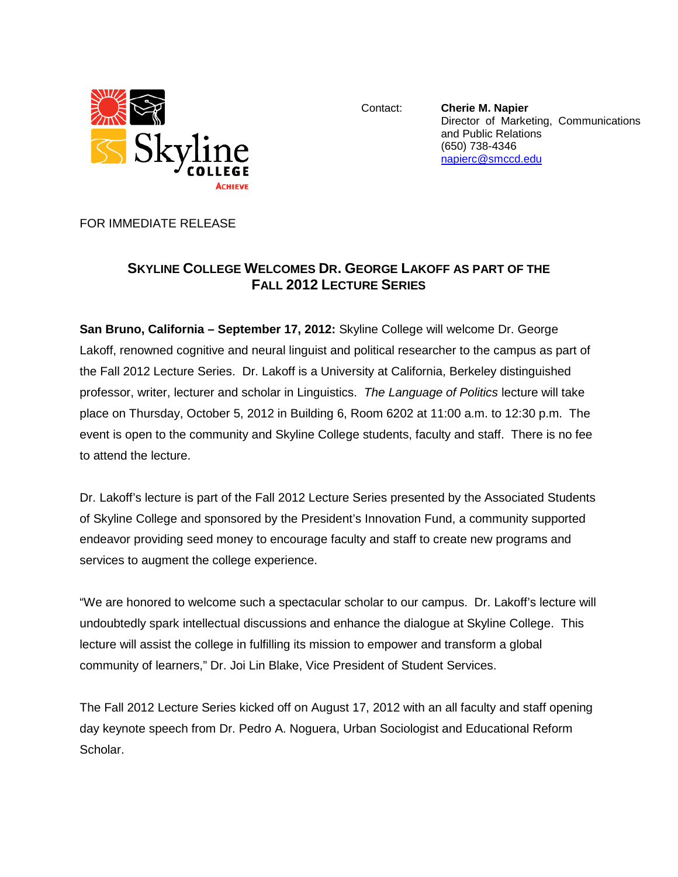

Contact: **Cherie M. Napier** Director of Marketing, Communications and Public Relations (650) 738-4346 [napierc@smccd.edu](mailto:napierc@smccd.edu)

FOR IMMEDIATE RELEASE

## **SKYLINE COLLEGE WELCOMES DR. GEORGE LAKOFF AS PART OF THE FALL 2012 LECTURE SERIES**

**San Bruno, California – September 17, 2012:** Skyline College will welcome Dr. George Lakoff, renowned cognitive and neural linguist and political researcher to the campus as part of the Fall 2012 Lecture Series. Dr. Lakoff is a University at California, Berkeley distinguished professor, writer, lecturer and scholar in Linguistics. *The Language of Politics* lecture will take place on Thursday, October 5, 2012 in Building 6, Room 6202 at 11:00 a.m. to 12:30 p.m. The event is open to the community and Skyline College students, faculty and staff. There is no fee to attend the lecture.

Dr. Lakoff's lecture is part of the Fall 2012 Lecture Series presented by the Associated Students of Skyline College and sponsored by the President's Innovation Fund, a community supported endeavor providing seed money to encourage faculty and staff to create new programs and services to augment the college experience.

"We are honored to welcome such a spectacular scholar to our campus. Dr. Lakoff's lecture will undoubtedly spark intellectual discussions and enhance the dialogue at Skyline College. This lecture will assist the college in fulfilling its mission to empower and transform a global community of learners," Dr. Joi Lin Blake, Vice President of Student Services.

The Fall 2012 Lecture Series kicked off on August 17, 2012 with an all faculty and staff opening day keynote speech from Dr. Pedro A. Noguera, Urban Sociologist and Educational Reform Scholar.